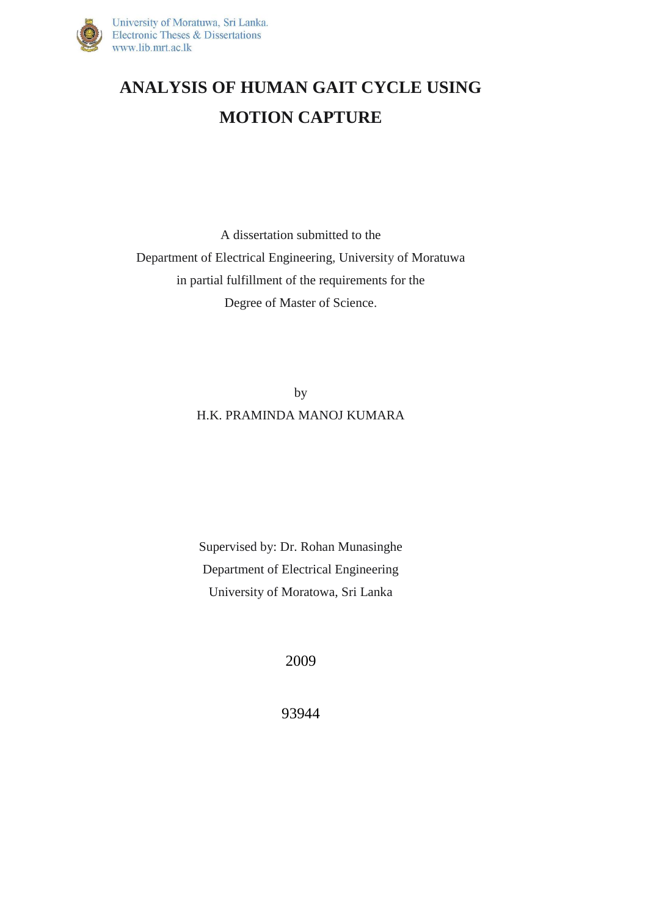

## **ANALYSIS OF HUMAN GAIT CYCLE USING MOTION CAPTURE**

A dissertation submitted to the Department of Electrical Engineering, University of Moratuwa in partial fulfillment of the requirements for the Degree of Master of Science.

> by H.K. PRAMINDA MANOJ KUMARA

Supervised by: Dr. Rohan Munasinghe Department of Electrical Engineering University of Moratowa, Sri Lanka

2009

93944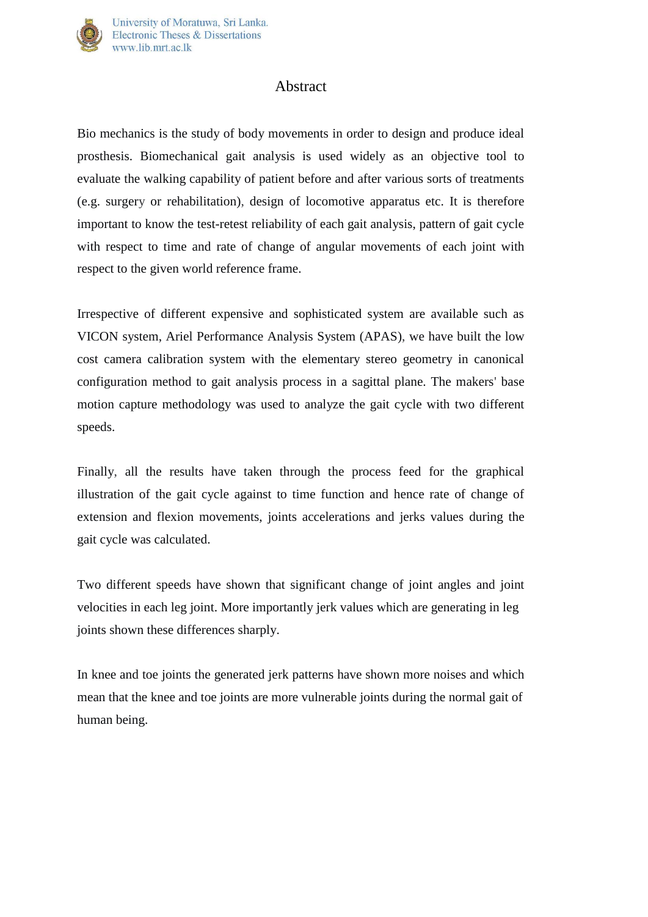

## Abstract

Bio mechanics is the study of body movements in order to design and produce ideal prosthesis. Biomechanical gait analysis is used widely as an objective tool to evaluate the walking capability of patient before and after various sorts of treatments (e.g. surgery or rehabilitation), design of locomotive apparatus etc. It is therefore important to know the test-retest reliability of each gait analysis, pattern of gait cycle with respect to time and rate of change of angular movements of each joint with respect to the given world reference frame.

Irrespective of different expensive and sophisticated system are available such as VICON system, Ariel Performance Analysis System (APAS), we have built the low cost camera calibration system with the elementary stereo geometry in canonical configuration method to gait analysis process in a sagittal plane. The makers' base motion capture methodology was used to analyze the gait cycle with two different speeds.

Finally, all the results have taken through the process feed for the graphical illustration of the gait cycle against to time function and hence rate of change of extension and flexion movements, joints accelerations and jerks values during the gait cycle was calculated.

Two different speeds have shown that significant change of joint angles and joint velocities in each leg joint. More importantly jerk values which are generating in leg joints shown these differences sharply.

In knee and toe joints the generated jerk patterns have shown more noises and which mean that the knee and toe joints are more vulnerable joints during the normal gait of human being.